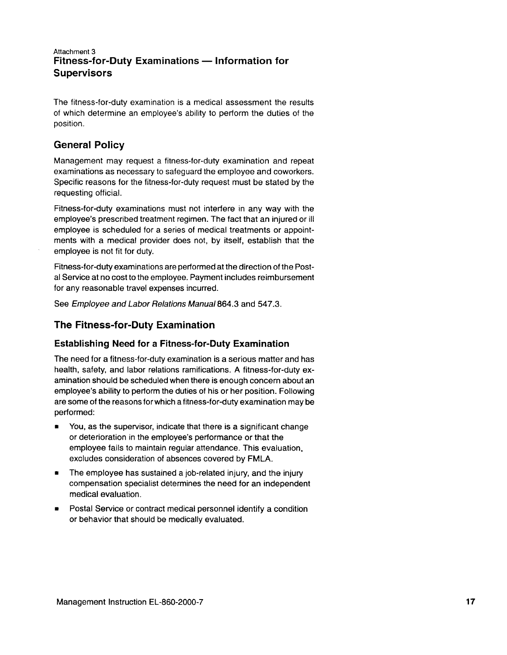### Attachment 3 Fitness-for-Duty Examinations - Information for **Supervisors**

The fitness-for-duty examination is a medical assessment the results of which determine an employee's ability to perform the duties of the position.

# General Policy

Management may request a fitness-for-duty examination and repeat examinations as necessary to safeguard the employee and coworkers. Specific reasons for the fitness-for-duty request must be stated by the requesting official.

Fitness-for-duty examinations must not interfere in any way with the employee's prescribed treatment regimen. The fact that an injured or ill employee is scheduled for a series of medical treatments or appointments with a medical provider does not, by itself, establish that the employee is not fit for duty.

Fitness-for-duty examinations are performed at the direction of the Postal Service at no cost to the employee. Payment includes reimbursement for any reasonable travel expenses incurred.

See Employee and Labor Relations Manual 864.3 and 547.3.

## The Fitness-for-Duty Examination

## Establishing Need for a Fitness-for-Duty Examination

The need for a fitness-for-duty examination is a serious matter and has health, safety, and labor relations ramifications. A fitness-for-duty examination should be scheduled when there is enough concern about an employee's ability to perform the duties of his or her position. Following are some of the reasons forwhich a fitness-for-duty examination may be performed:

- **•** You, as the supervisor, indicate that there is a significant change or deterioration in the employee's performance or that the employee fails to maintain regular attendance. This evaluation. excludes consideration of absences covered by FMLA.
- **F** The employee has sustained a job-related injury, and the injury compensation specialist determines the need for an independent medical evaluation.
- **•** Postal Service or contract medical personnel identify a condition or behavior that should be medically evaluated.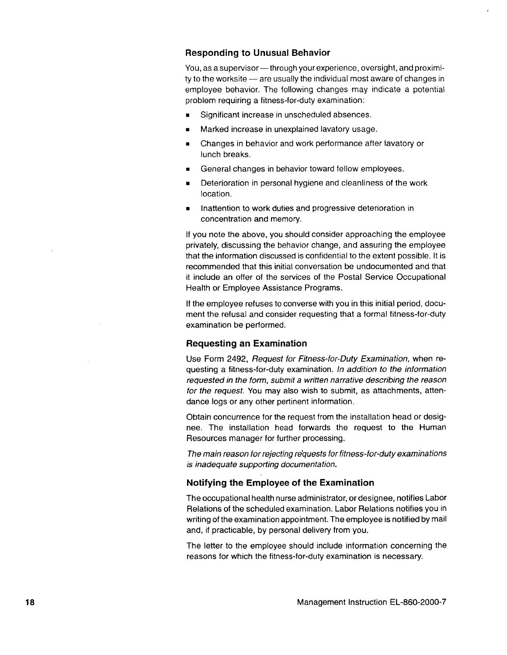#### Responding to Unusual Behavior

You, as a supervisor - through your experience, oversight, and proximi $t$ y to the worksite  $-$  are usually the individual most aware of changes in employee behavior. The following changes may indicaie a potential problem requiring a fitness-for-duty examination:

- **F** Significant increase in unscheduled absences.
- **EXEC** Marked increase in unexplained lavatory usage.
- **EXEC** Changes in behavior and work performance after lavatory or lunch breaks.
- **EXEC** General changes in behavior toward fellow employees.
- **EXECTE:** Deterioration in personal hygiene and cleanliness of the work location.
- **EXECUTE:** Inattention to work duties and progressive deterioration in concentration and memory.

lf you note the above, you should consider approaching the employee privately, discussing the behavior change, and assuring the employee that the information discussed is confidential to the extent possible. lt is recommended that this initial conversation be undocumented and that it include an offer of the services of the Postal Service Occupational Health or Employee Assistance Programs.

lf the employee refuses to converse with you in this initial period, document the refusal and consider requesting that a formal fitness-for-duty examination be performed.

### Requesting an Examination

Use Form 2492, Request for Fitness-for-Duty Examination, when requesting a fitness-for-duty examination. ln addition to the information requested in the form, submit a wriften narrative describing the reason for the request. You may also wish to submit, as attachments, attendance logs or any other pertinent information.

Obtain concurrence for the request from the installation head or designee. The installation head forwards the request to the Human Resources manager for further processing.

The main reason for rejecting requests for fitness-for-duty examinations is inadequate supporting documentation.

### Notifying the Employee of the Examination

The occupational health nurse administrator, ordesignee, notifies Labor Relations of the scheduled examination. Labor Relations notifies you in writing of the examination appointment. The employee is notified by mail and, if practicable, by personal delivery from you.

The letter to the employee should include information concerning the reasons for which the fitness-for-dutv examination is necessary.